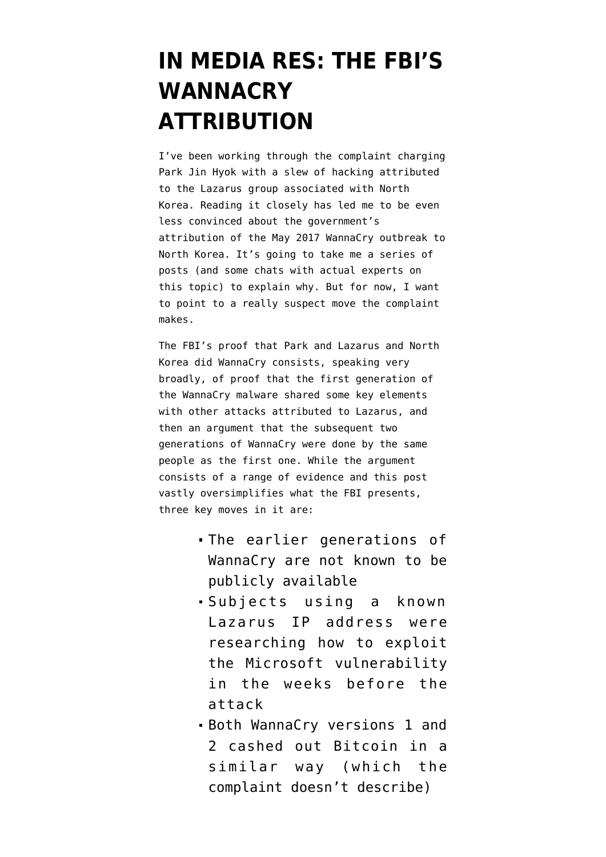## **[IN MEDIA RES: THE FBI'S](https://www.emptywheel.net/2018/09/19/in-media-res-the-fbis-wannacry-attribution/) [WANNACRY](https://www.emptywheel.net/2018/09/19/in-media-res-the-fbis-wannacry-attribution/) [ATTRIBUTION](https://www.emptywheel.net/2018/09/19/in-media-res-the-fbis-wannacry-attribution/)**

I've been working through the [complaint](https://www.justice.gov/usao-cdca/press-release/file/1091951/download) charging Park Jin Hyok with a slew of hacking attributed to the Lazarus group associated with North Korea. Reading it closely has led me to be even less convinced about the [government's](https://www.emptywheel.net/2017/12/19/the-moneyless-attribution-of-wannacry/) [attribution](https://www.emptywheel.net/2017/12/19/the-moneyless-attribution-of-wannacry/) of the May 2017 WannaCry outbreak to North Korea. It's going to take me a series of posts (and some chats with actual experts on this topic) to explain why. But for now, I want to point to a really suspect move the complaint makes.

The FBI's proof that Park and Lazarus and North Korea did WannaCry consists, speaking very broadly, of proof that the first generation of the WannaCry malware shared some key elements with other attacks attributed to Lazarus, and then an argument that the subsequent two generations of WannaCry were done by the same people as the first one. While the argument consists of a range of evidence and this post vastly oversimplifies what the FBI presents, three key moves in it are:

- The earlier generations of WannaCry are not known to be publicly available
- Subjects using a known Lazarus IP address were researching how to exploit the Microsoft vulnerability in the weeks before the attack
- Both WannaCry versions 1 and 2 cashed out Bitcoin in a similar way (which the complaint doesn't describe)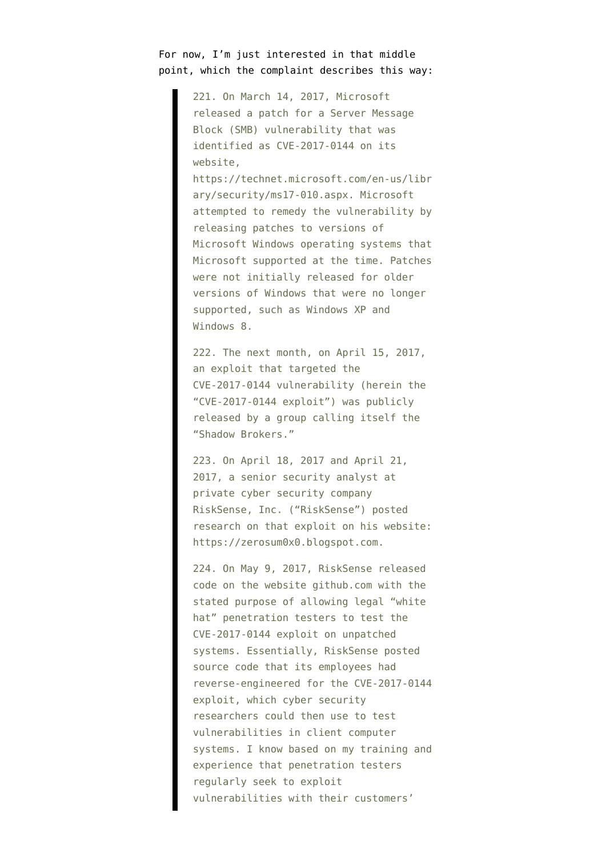For now, I'm just interested in that middle point, which the complaint describes this way:

> 221. On March 14, 2017, Microsoft released a patch for a Server Message Block (SMB) vulnerability that was identified as CVE-2017-0144 on its website,

https://technet.microsoft.com/en-us/libr ary/security/ms17-010.aspx. Microsoft attempted to remedy the vulnerability by releasing patches to versions of Microsoft Windows operating systems that Microsoft supported at the time. Patches were not initially released for older versions of Windows that were no longer supported, such as Windows XP and Windows 8.

222. The next month, on April 15, 2017, an exploit that targeted the CVE-2017-0144 vulnerability (herein the "CVE-2017-0144 exploit") was publicly released by a group calling itself the "Shadow Brokers."

223. On April 18, 2017 and April 21, 2017, a senior security analyst at private cyber security company RiskSense, Inc. ("RiskSense") posted research on that exploit on his website: https://zerosum0x0.blogspot.com.

224. On May 9, 2017, RiskSense released code on the website github.com with the stated purpose of allowing legal "white hat" penetration testers to test the CVE-2017-0144 exploit on unpatched systems. Essentially, RiskSense posted source code that its employees had reverse-engineered for the CVE-2017-0144 exploit, which cyber security researchers could then use to test vulnerabilities in client computer systems. I know based on my training and experience that penetration testers regularly seek to exploit vulnerabilities with their customers'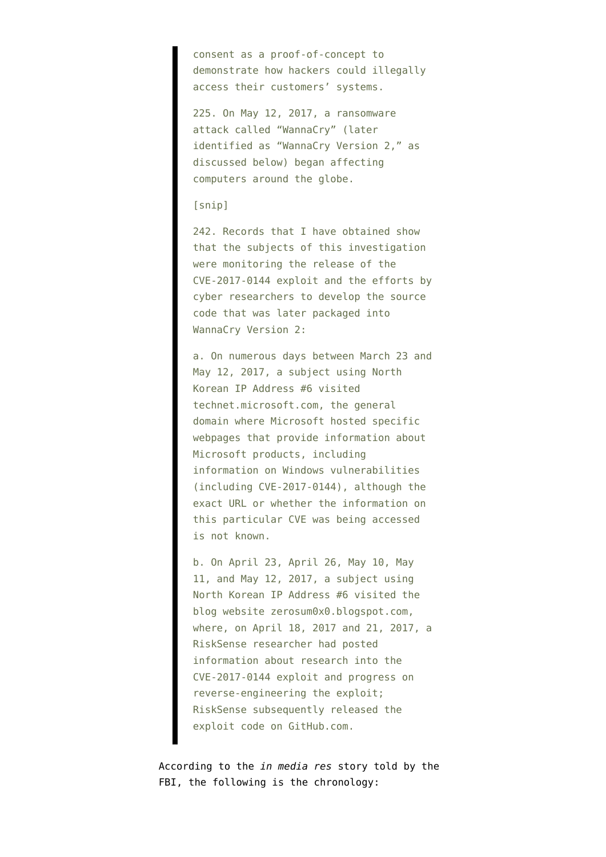consent as a proof-of-concept to demonstrate how hackers could illegally access their customers' systems.

225. On May 12, 2017, a ransomware attack called "WannaCry" (later identified as "WannaCry Version 2," as discussed below) began affecting computers around the globe.

## [snip]

242. Records that I have obtained show that the subjects of this investigation were monitoring the release of the CVE-2017-0144 exploit and the efforts by cyber researchers to develop the source code that was later packaged into WannaCry Version 2:

a. On numerous days between March 23 and May 12, 2017, a subject using North Korean IP Address #6 visited technet.microsoft.com, the general domain where Microsoft hosted specific webpages that provide information about Microsoft products, including information on Windows vulnerabilities (including CVE-2017-0144), although the exact URL or whether the information on this particular CVE was being accessed is not known.

b. On April 23, April 26, May 10, May 11, and May 12, 2017, a subject using North Korean IP Address #6 visited the blog website zerosum0x0.blogspot.com, where, on April 18, 2017 and 21, 2017, a RiskSense researcher had posted information about research into the CVE-2017-0144 exploit and progress on reverse-engineering the exploit; RiskSense subsequently released the exploit code on GitHub.com.

According to the *in media res* story told by the FBI, the following is the chronology: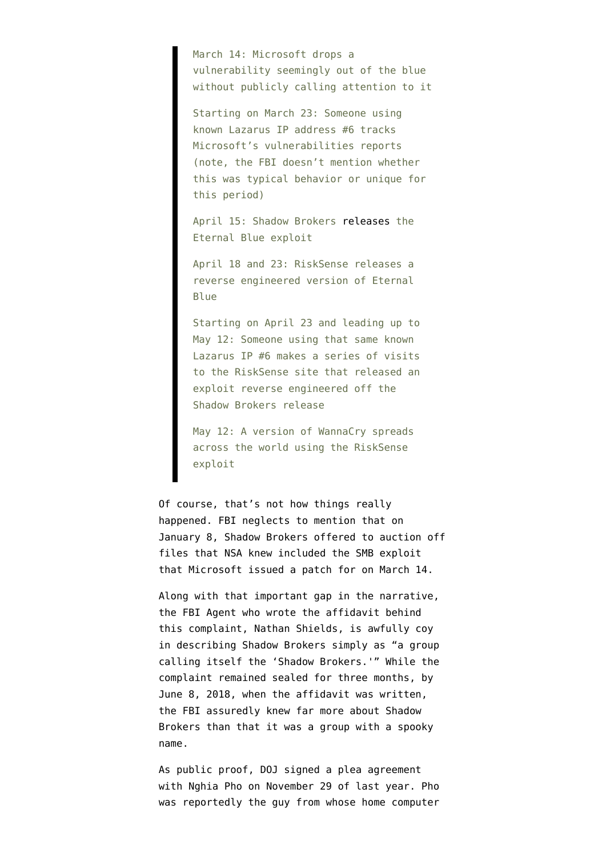March 14: Microsoft drops a vulnerability seemingly out of the blue without publicly calling attention to it

Starting on March 23: Someone using known Lazarus IP address #6 tracks Microsoft's vulnerabilities reports (note, the FBI doesn't mention whether this was typical behavior or unique for this period)

April 15: Shadow Brokers [releases](https://steemit.com/shadowbrokers/@theshadowbrokers/lost-in-translation) the Eternal Blue exploit

April 18 and 23: RiskSense releases a reverse engineered version of Eternal Blue

Starting on April 23 and leading up to May 12: Someone using that same known Lazarus IP #6 makes a series of visits to the RiskSense site that released an exploit reverse engineered off the Shadow Brokers release

May 12: A version of WannaCry spreads across the world using the RiskSense exploit

Of course, that's not how things really happened. FBI neglects to mention that [on](https://steemit.com/shadowbrokers/@theshadowbrokers/repost-theshadowbrokers-message-7-january-2017) [January 8,](https://steemit.com/shadowbrokers/@theshadowbrokers/repost-theshadowbrokers-message-7-january-2017) Shadow Brokers offered to auction off files that NSA knew included the SMB exploit that Microsoft issued a patch for on March 14.

Along with that important gap in the narrative, the FBI Agent who wrote the affidavit behind this complaint, Nathan Shields, is awfully coy in describing Shadow Brokers simply as "a group calling itself the 'Shadow Brokers.'" While the complaint remained sealed for three months, by June 8, 2018, when the affidavit was written, the FBI [assuredly knew far more](https://steemit.com/shadowbrokers/@theshadowbrokers/october-price-adjustment) about Shadow Brokers than that it was a group with a spooky name.

As public proof, DOJ signed a [plea agreement](https://www.courtlistener.com/recap/gov.uscourts.mdd.408035/gov.uscourts.mdd.408035.1.0.pdf) with Nghia Pho on November 29 of last year. Pho was reportedly the guy from whose home computer